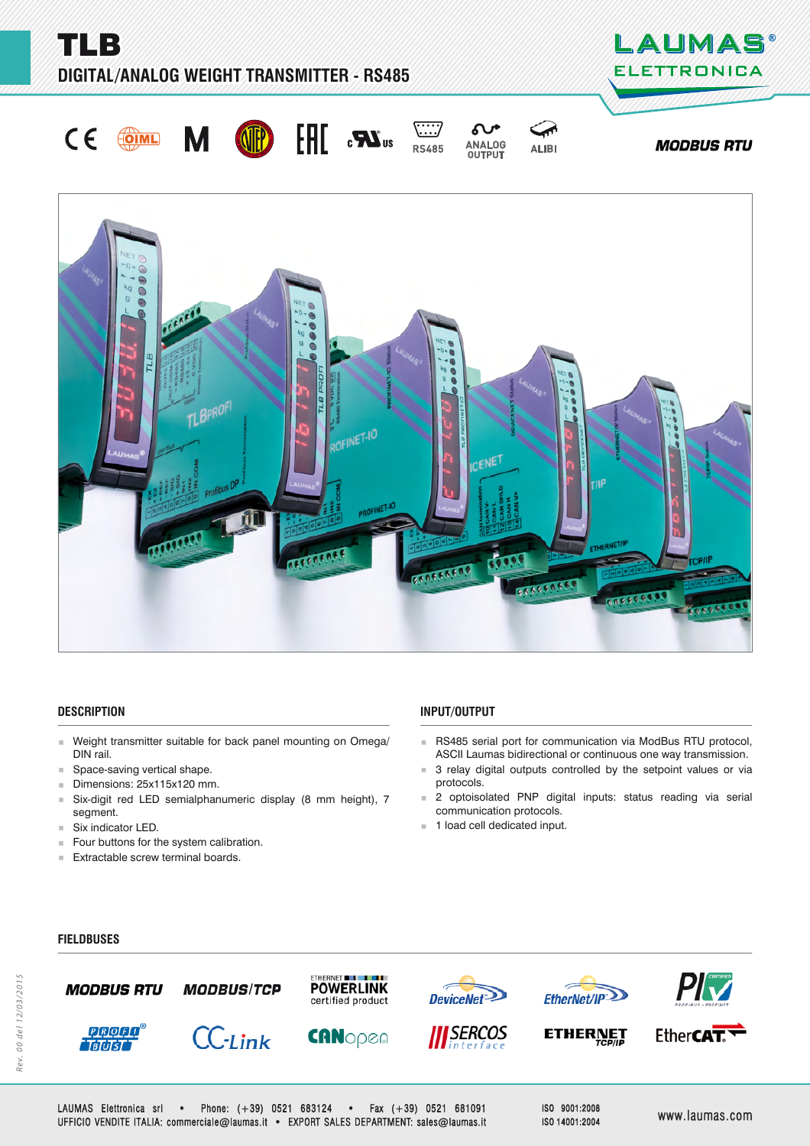**TLB DIGITAL/ANALOG WEIGHT TRANSMITTER - RS485** 











**ALIBI** 





## **DESCRIPTION ESCRIPTION**

- Weight transmitter suitable for back panel mounting on Omega/ DIN rail.
- **Space-saving vertical shape.**
- $\blacksquare$  Dimensions: 25x115x120 mm.
- Six-digit red LED semialphanumeric display (8 mm height), 7 segment.
- Six indicator LED.
- Four buttons for the system calibration.
- **Extractable screw terminal boards.**

# **INPUT/OUTPUT NPUT/OUTPUT**

- RS485 serial port for communication via ModBus RTU protocol, ASCII Laumas bidirectional or continuous one way transmission.
- **3** relay digital outputs controlled by the setpoint values or via protocols.
- 2 optoisolated PNP digital inputs: status reading via serial communication protocols.
- **1** load cell dedicated input.

## **FIELDBUSES IELDBUSES**



LAUMAS Elettronica srl • Phone: (+39) 0521 683124 • Fax (+39) 0521 681091 UFFICIO VENDITE ITALIA: commerciale@laumas.it • EXPORT SALES DEPARTMENT: sales@laumas.it FFICIO www.laumas.com ww.laumas.com

ISO 9001:2008 ISO 14001:2004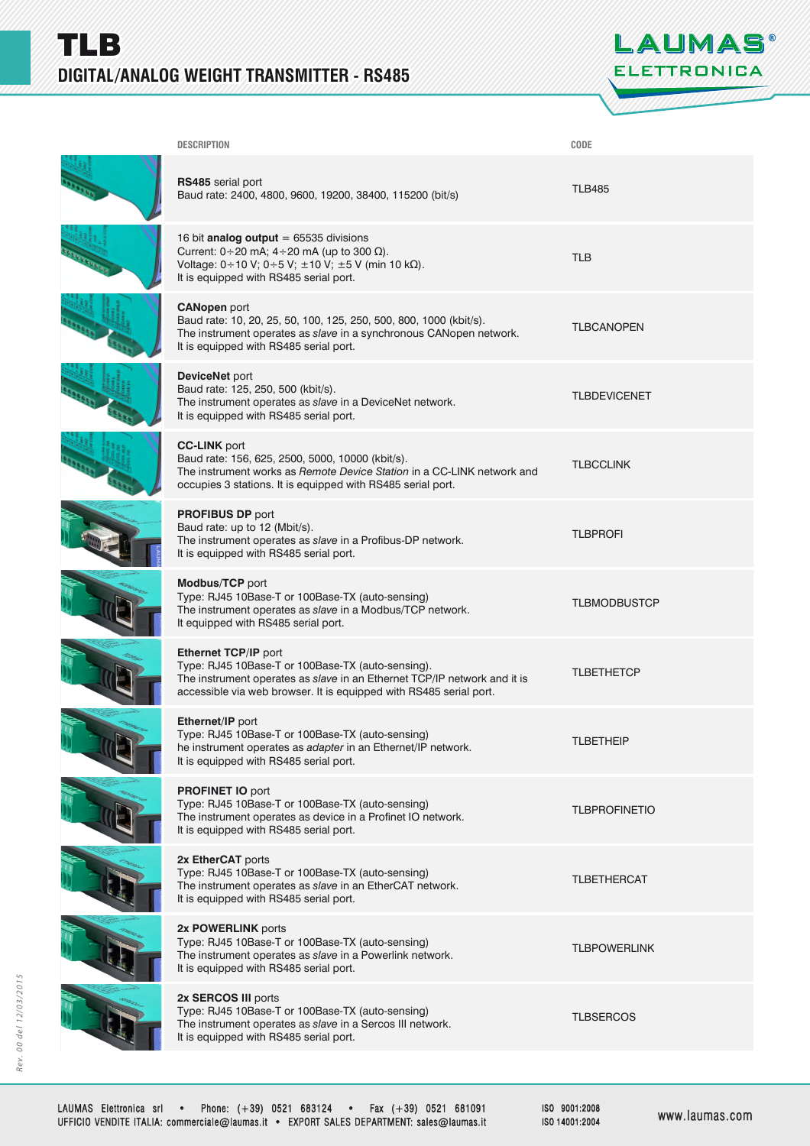

| <b>DESCRIPTION</b>                                                                                                                                                                                                          | CODE                 |
|-----------------------------------------------------------------------------------------------------------------------------------------------------------------------------------------------------------------------------|----------------------|
| RS485 serial port<br>Baud rate: 2400, 4800, 9600, 19200, 38400, 115200 (bit/s)                                                                                                                                              | <b>TLB485</b>        |
| 16 bit analog output = $65535$ divisions<br>Current: $0 \div 20$ mA; $4 \div 20$ mA (up to 300 $\Omega$ ).<br>Voltage: 0 ÷ 10 V; 0 ÷ 5 V; ± 10 V; ± 5 V (min 10 kΩ).<br>It is equipped with RS485 serial port.              | <b>TLB</b>           |
| <b>CANopen</b> port<br>Baud rate: 10, 20, 25, 50, 100, 125, 250, 500, 800, 1000 (kbit/s).<br>The instrument operates as slave in a synchronous CANopen network.<br>It is equipped with RS485 serial port.                   | <b>TLBCANOPEN</b>    |
| DeviceNet port<br>Baud rate: 125, 250, 500 (kbit/s).<br>The instrument operates as slave in a DeviceNet network.<br>It is equipped with RS485 serial port.                                                                  | <b>TLBDEVICENET</b>  |
| <b>CC-LINK</b> port<br>Baud rate: 156, 625, 2500, 5000, 10000 (kbit/s).<br>The instrument works as Remote Device Station in a CC-LINK network and<br>occupies 3 stations. It is equipped with RS485 serial port.            | <b>TLBCCLINK</b>     |
| <b>PROFIBUS DP port</b><br>Baud rate: up to 12 (Mbit/s).<br>The instrument operates as slave in a Profibus-DP network.<br>It is equipped with RS485 serial port.                                                            | <b>TLBPROFI</b>      |
| Modbus/TCP port<br>Type: RJ45 10Base-T or 100Base-TX (auto-sensing)<br>The instrument operates as slave in a Modbus/TCP network.<br>It equipped with RS485 serial port.                                                     | <b>TLBMODBUSTCP</b>  |
| Ethernet TCP/IP port<br>Type: RJ45 10Base-T or 100Base-TX (auto-sensing).<br>The instrument operates as slave in an Ethernet TCP/IP network and it is<br>accessible via web browser. It is equipped with RS485 serial port. | <b>TLBETHETCP</b>    |
| Ethernet/IP port<br>Type: RJ45 10Base-T or 100Base-TX (auto-sensing)<br>he instrument operates as adapter in an Ethernet/IP network.<br>It is equipped with RS485 serial port.                                              | TLBETHEIP            |
| <b>PROFINET IO port</b><br>Type: RJ45 10Base-T or 100Base-TX (auto-sensing)<br>The instrument operates as device in a Profinet IO network.<br>It is equipped with RS485 serial port.                                        | <b>TLBPROFINETIO</b> |
| 2x EtherCAT ports<br>Type: RJ45 10Base-T or 100Base-TX (auto-sensing)<br>The instrument operates as slave in an EtherCAT network.<br>It is equipped with RS485 serial port.                                                 | TLBETHERCAT          |
| 2x POWERLINK ports<br>Type: RJ45 10Base-T or 100Base-TX (auto-sensing)<br>The instrument operates as slave in a Powerlink network.<br>It is equipped with RS485 serial port.                                                | <b>TLBPOWERLINK</b>  |
| 2x SERCOS III ports<br>Type: RJ45 10Base-T or 100Base-TX (auto-sensing)<br>The instrument operates as slave in a Sercos III network.<br>It is equipped with RS485 serial port.                                              | TLBSERCOS            |
|                                                                                                                                                                                                                             |                      |

ISO 9001:2008 ISO 14001:2004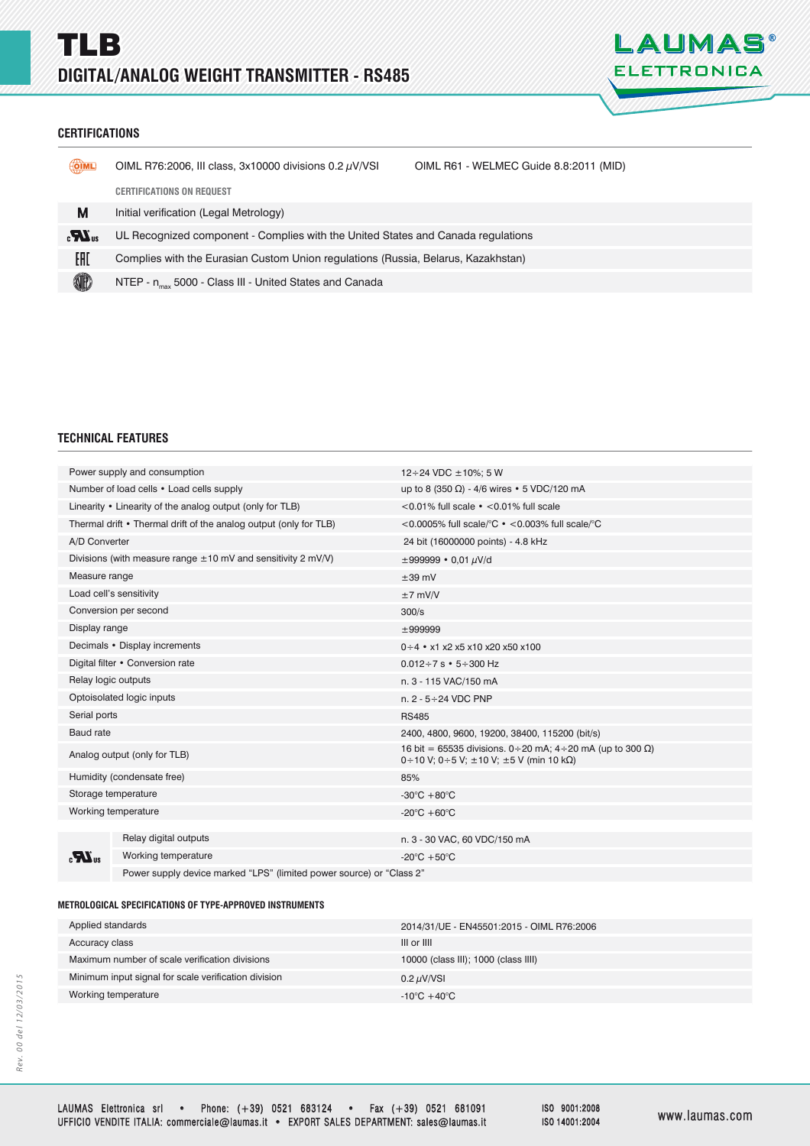

## **CERTIFICATIONS ERTIFICATIONS**

| OIML         | OIML R76:2006, III class, 3x10000 divisions $0.2 \mu$ V/VSI                       | OIML R61 - WELMEC Guide 8.8:2011 (MID) |  |
|--------------|-----------------------------------------------------------------------------------|----------------------------------------|--|
|              | <b>CERTIFICATIONS ON REQUEST</b>                                                  |                                        |  |
| М            | Initial verification (Legal Metrology)                                            |                                        |  |
| $\mathbf{r}$ | UL Recognized component - Complies with the United States and Canada regulations  |                                        |  |
| EAD          | Complies with the Eurasian Custom Union regulations (Russia, Belarus, Kazakhstan) |                                        |  |
| <b>III</b>   | NTEP - n <sub>max</sub> 5000 - Class III - United States and Canada               |                                        |  |

## **TECHNICAL FEATURES**

| Power supply and consumption                                      |                                                                        | $12 \div 24$ VDC $\pm 10\%$ : 5 W                                                                                    |
|-------------------------------------------------------------------|------------------------------------------------------------------------|----------------------------------------------------------------------------------------------------------------------|
| Number of load cells • Load cells supply                          |                                                                        | up to 8 (350 $\Omega$ ) - 4/6 wires • 5 VDC/120 mA                                                                   |
| Linearity • Linearity of the analog output (only for TLB)         |                                                                        | $<$ 0.01% full scale $\cdot$ $<$ 0.01% full scale                                                                    |
| Thermal drift • Thermal drift of the analog output (only for TLB) |                                                                        | <0.0005% full scale/°C $\cdot$ <0.003% full scale/°C                                                                 |
| A/D Converter                                                     |                                                                        | 24 bit (16000000 points) - 4.8 kHz                                                                                   |
| Divisions (with measure range $\pm 10$ mV and sensitivity 2 mV/V) |                                                                        | $\pm 999999 \cdot 0.01 \mu V/d$                                                                                      |
| Measure range                                                     |                                                                        | $\pm 39$ mV                                                                                                          |
| Load cell's sensitivity                                           |                                                                        | $±7$ mV/V                                                                                                            |
| Conversion per second                                             |                                                                        | 300/s                                                                                                                |
| Display range                                                     |                                                                        | ±999999                                                                                                              |
| Decimals • Display increments                                     |                                                                        | $0 \div 4$ • x1 x2 x5 x10 x20 x50 x100                                                                               |
| Digital filter • Conversion rate                                  |                                                                        | $0.012 \div 7$ s $\cdot$ 5 $\div$ 300 Hz                                                                             |
| Relay logic outputs                                               |                                                                        | n. 3 - 115 VAC/150 mA                                                                                                |
| Optoisolated logic inputs                                         |                                                                        | n. $2 - 5 \div 24$ VDC PNP                                                                                           |
| Serial ports                                                      |                                                                        | <b>RS485</b>                                                                                                         |
| <b>Baud</b> rate                                                  |                                                                        | 2400, 4800, 9600, 19200, 38400, 115200 (bit/s)                                                                       |
| Analog output (only for TLB)                                      |                                                                        | 16 bit = 65535 divisions. 0 ÷ 20 mA; 4 ÷ 20 mA (up to 300 Ω)<br>0 ÷ 10 V; 0 ÷ 5 V; $\pm$ 10 V; $\pm$ 5 V (min 10 kΩ) |
| Humidity (condensate free)                                        |                                                                        | 85%                                                                                                                  |
| Storage temperature                                               |                                                                        | -30 $\mathrm{^{\circ}C}$ +80 $\mathrm{^{\circ}C}$                                                                    |
| Working temperature                                               |                                                                        | -20 $\mathrm{^{\circ}C}$ +60 $\mathrm{^{\circ}C}$                                                                    |
|                                                                   |                                                                        |                                                                                                                      |
| $\boldsymbol{K}_3$                                                | Relay digital outputs                                                  | n. 3 - 30 VAC, 60 VDC/150 mA                                                                                         |
|                                                                   | Working temperature                                                    | -20 $\mathrm{^{\circ}C}$ +50 $\mathrm{^{\circ}C}$                                                                    |
|                                                                   | Bourse ounds do do no model "LDC" (limited pourse course) or "Close O" |                                                                                                                      |

## Power supply device marked "LPS" (limited power source) or "Class 2"

## **METROLOGICAL SPECIFICATIONS OF TYPE-APPROVED INSTRUMENTS ETROLOGICAL SPECIFICATIONS OF TYPE-APPROVED**

| Applied standards                                    | 2014/31/UE - EN45501:2015 - OIML R76:2006 |
|------------------------------------------------------|-------------------------------------------|
| Accuracy class                                       | III or IIII                               |
| Maximum number of scale verification divisions       | 10000 (class III); 1000 (class IIII)      |
| Minimum input signal for scale verification division | 0.2 $\mu$ V/VSI                           |
| Working temperature                                  | $-10^{\circ}$ C +40 $^{\circ}$ C          |
|                                                      |                                           |